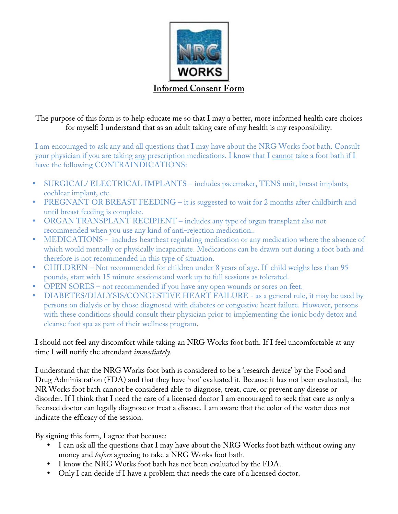

The purpose of this form is to help educate me so that I may a better, more informed health care choices for myself: I understand that as an adult taking care of my health is my responsibility.

I am encouraged to ask any and all questions that I may have about the NRG Works foot bath. Consult your physician if you are taking any prescription medications. I know that I cannot take a foot bath if I have the following CONTRAINDICATIONS:

- SURGICAL/ ELECTRICAL IMPLANTS includes pacemaker, TENS unit, breast implants, cochlear implant, etc.
- PREGNANT OR BREAST FEEDING it is suggested to wait for 2 months after childbirth and until breast feeding is complete.
- ORGAN TRANSPLANT RECIPIENT includes any type of organ transplant also not recommended when you use any kind of anti-rejection medication..
- MEDICATIONS includes heartbeat regulating medication or any medication where the absence of which would mentally or physically incapacitate. Medications can be drawn out during a foot bath and therefore is not recommended in this type of situation.
- CHILDREN Not recommended for children under 8 years of age. If child weighs less than 95 pounds, start with 15 minute sessions and work up to full sessions as tolerated.
- OPEN SORES not recommended if you have any open wounds or sores on feet.
- DIABETES/DIALYSIS/CONGESTIVE HEART FAILURE as a general rule, it may be used by persons on dialysis or by those diagnosed with diabetes or congestive heart failure. However, persons with these conditions should consult their physician prior to implementing the ionic body detox and cleanse foot spa as part of their wellness program.

## I should not feel any discomfort while taking an NRG Works foot bath. If I feel uncomfortable at any time I will notify the attendant *immediately*.

I understand that the NRG Works foot bath is considered to be a 'research device' by the Food and Drug Administration (FDA) and that they have 'not' evaluated it. Because it has not been evaluated, the NR Works foot bath cannot be considered able to diagnose, treat, cure, or prevent any disease or disorder. If I think that I need the care of a licensed doctor I am encouraged to seek that care as only a licensed doctor can legally diagnose or treat a disease. I am aware that the color of the water does not indicate the efficacy of the session.

By signing this form, I agree that because:

- I can ask all the questions that I may have about the NRG Works foot bath without owing any money and *before* agreeing to take a NRG Works foot bath.
- I know the NRG Works foot bath has not been evaluated by the FDA.
- Only I can decide if I have a problem that needs the care of a licensed doctor.